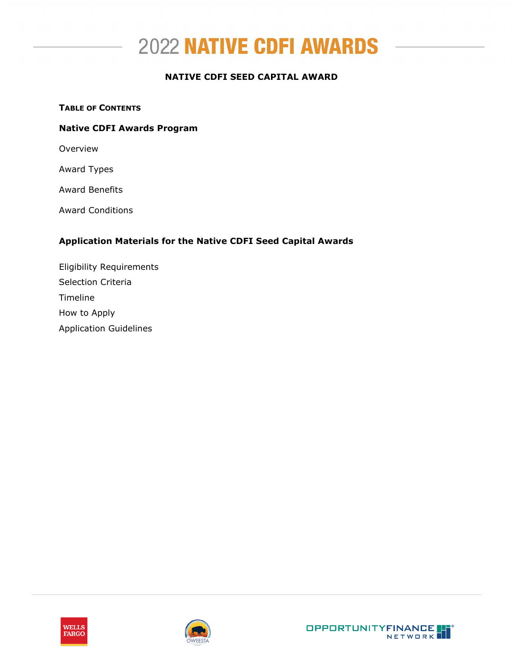

# **NATIVE CDFI SEED CAPITAL AWARD**

#### **TABLE OF CONTENTS**

#### **Native CDFI Awards Program**

Overview

Award Types

Award Benefits

Award Conditions

## **Application Materials for the Native CDFI Seed Capital Awards**

Eligibility Requirements Selection Criteria Timeline How to Apply Application Guidelines



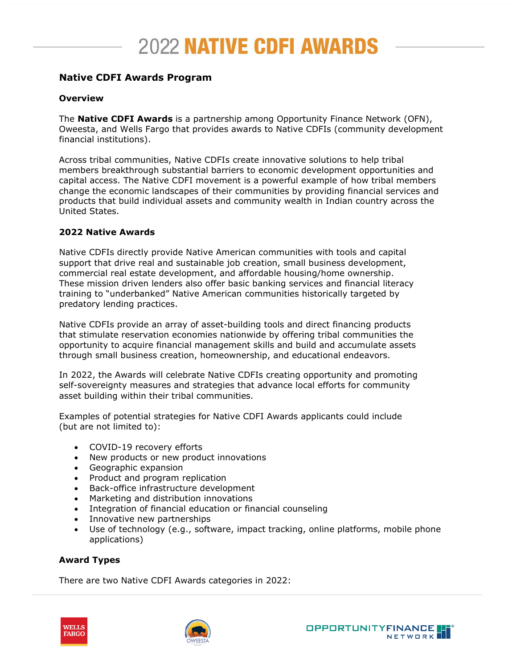# **Native CDFI Awards Program**

## **Overview**

The **Native CDFI Awards** is a partnership among Opportunity Finance Network (OFN), Oweesta, and Wells Fargo that provides awards to Native CDFIs (community development financial institutions).

Across tribal communities, Native CDFIs create innovative solutions to help tribal members breakthrough substantial barriers to economic development opportunities and capital access. The Native CDFI movement is a powerful example of how tribal members change the economic landscapes of their communities by providing financial services and products that build individual assets and community wealth in Indian country across the United States.

# **2022 Native Awards**

Native CDFIs directly provide Native American communities with tools and capital support that drive real and sustainable job creation, small business development, commercial real estate development, and affordable housing/home ownership. These mission driven lenders also offer basic banking services and financial literacy training to "underbanked" Native American communities historically targeted by predatory lending practices.

Native CDFIs provide an array of asset-building tools and direct financing products that stimulate reservation economies nationwide by offering tribal communities the opportunity to acquire financial management skills and build and accumulate assets through small business creation, homeownership, and educational endeavors.

In 2022, the Awards will celebrate Native CDFIs creating opportunity and promoting self-sovereignty measures and strategies that advance local efforts for community asset building within their tribal communities.

Examples of potential strategies for Native CDFI Awards applicants could include (but are not limited to):

- COVID-19 recovery efforts
- New products or new product innovations
- Geographic expansion
- Product and program replication
- Back-office infrastructure development
- Marketing and distribution innovations
- Integration of financial education or financial counseling
- Innovative new partnerships
- Use of technology (e.g., software, impact tracking, online platforms, mobile phone applications)

# **Award Types**

There are two Native CDFI Awards categories in 2022:



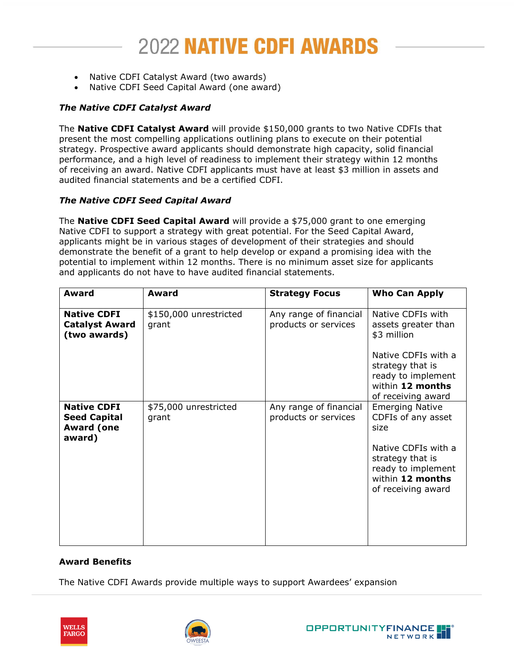- Native CDFI Catalyst Award (two awards)
- Native CDFI Seed Capital Award (one award)

# *The Native CDFI Catalyst Award*

The **Native CDFI Catalyst Award** will provide \$150,000 grants to two Native CDFIs that present the most compelling applications outlining plans to execute on their potential strategy. Prospective award applicants should demonstrate high capacity, solid financial performance, and a high level of readiness to implement their strategy within 12 months of receiving an award. Native CDFI applicants must have at least \$3 million in assets and audited financial statements and be a certified CDFI.

# *The Native CDFI Seed Capital Award*

The **Native CDFI Seed Capital Award** will provide a \$75,000 grant to one emerging Native CDFI to support a strategy with great potential. For the Seed Capital Award, applicants might be in various stages of development of their strategies and should demonstrate the benefit of a grant to help develop or expand a promising idea with the potential to implement within 12 months. There is no minimum asset size for applicants and applicants do not have to have audited financial statements.

| Award                                                                    | Award                           | <b>Strategy Focus</b>                          | <b>Who Can Apply</b>                                                                                                                                            |
|--------------------------------------------------------------------------|---------------------------------|------------------------------------------------|-----------------------------------------------------------------------------------------------------------------------------------------------------------------|
| <b>Native CDFI</b><br><b>Catalyst Award</b><br>(two awards)              | \$150,000 unrestricted<br>grant | Any range of financial<br>products or services | Native CDFIs with<br>assets greater than<br>\$3 million                                                                                                         |
|                                                                          |                                 |                                                | Native CDFIs with a<br>strategy that is<br>ready to implement<br>within 12 months<br>of receiving award                                                         |
| <b>Native CDFI</b><br><b>Seed Capital</b><br><b>Award (one</b><br>award) | \$75,000 unrestricted<br>grant  | Any range of financial<br>products or services | <b>Emerging Native</b><br>CDFIs of any asset<br>size<br>Native CDFIs with a<br>strategy that is<br>ready to implement<br>within 12 months<br>of receiving award |

# **Award Benefits**

The Native CDFI Awards provide multiple ways to support Awardees' expansion





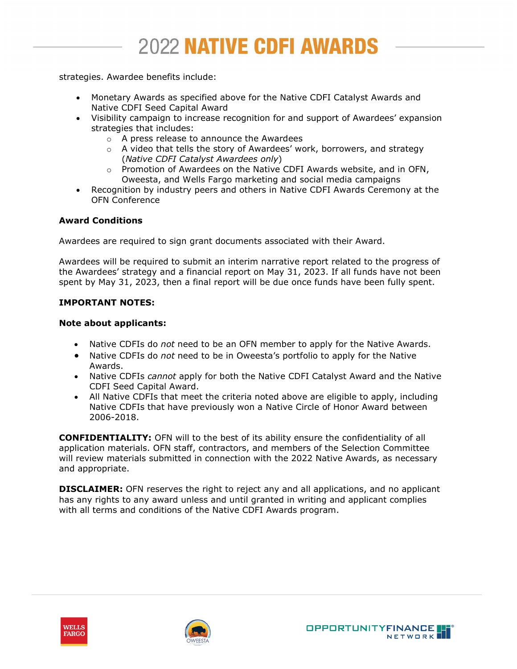strategies. Awardee benefits include:

- Monetary Awards as specified above for the Native CDFI Catalyst Awards and Native CDFI Seed Capital Award
- Visibility campaign to increase recognition for and support of Awardees' expansion strategies that includes:
	- o A press release to announce the Awardees
	- $\circ$  A video that tells the story of Awardees' work, borrowers, and strategy (*Native CDFI Catalyst Awardees only*)
	- $\circ$  Promotion of Awardees on the Native CDFI Awards website, and in OFN, Oweesta, and Wells Fargo marketing and social media campaigns
- Recognition by industry peers and others in Native CDFI Awards Ceremony at the OFN Conference

# **Award Conditions**

Awardees are required to sign grant documents associated with their Award.

Awardees will be required to submit an interim narrative report related to the progress of the Awardees' strategy and a financial report on May 31, 2023. If all funds have not been spent by May 31, 2023, then a final report will be due once funds have been fully spent.

# **IMPORTANT NOTES:**

#### **Note about applicants:**

- Native CDFIs do *not* need to be an OFN member to apply for the Native Awards.
- Native CDFIs do *not* need to be in Oweesta's portfolio to apply for the Native Awards.
- Native CDFIs *cannot* apply for both the Native CDFI Catalyst Award and the Native CDFI Seed Capital Award.
- All Native CDFIs that meet the criteria noted above are eligible to apply, including Native CDFIs that have previously won a Native Circle of Honor Award between 2006-2018.

**CONFIDENTIALITY:** OFN will to the best of its ability ensure the confidentiality of all application materials. OFN staff, contractors, and members of the Selection Committee will review materials submitted in connection with the 2022 Native Awards, as necessary and appropriate.

**DISCLAIMER:** OFN reserves the right to reject any and all applications, and no applicant has any rights to any award unless and until granted in writing and applicant complies with all terms and conditions of the Native CDFI Awards program.





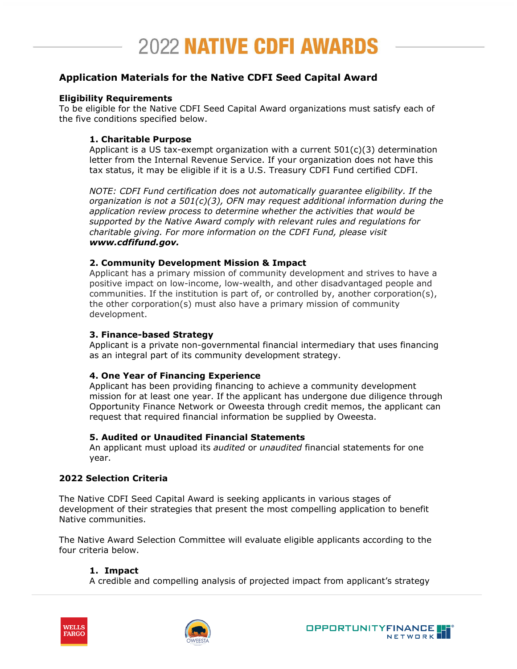# **Application Materials for the Native CDFI Seed Capital Award**

## **Eligibility Requirements**

To be eligible for the Native CDFI Seed Capital Award organizations must satisfy each of the five conditions specified below.

# **1. Charitable Purpose**

Applicant is a US tax-exempt organization with a current 501(c)(3) determination letter from the Internal Revenue Service. If your organization does not have this tax status, it may be eligible if it is a U.S. Treasury CDFI Fund certified CDFI.

*NOTE: CDFI Fund certification does not automatically guarantee eligibility. If the organization is not a 501(c)(3), OFN may request additional information during the application review process to determine whether the activities that would be supported by the Native Award comply with relevant rules and regulations for charitable giving. For more information on the CDFI Fund, please visit www.cdfifund.gov.* 

#### **2. Community Development Mission & Impact**

Applicant has a primary mission of community development and strives to have a positive impact on low-income, low-wealth, and other disadvantaged people and communities. If the institution is part of, or controlled by, another corporation(s), the other corporation(s) must also have a primary mission of community development.

#### **3. Finance-based Strategy**

Applicant is a private non-governmental financial intermediary that uses financing as an integral part of its community development strategy.

# **4. One Year of Financing Experience**

Applicant has been providing financing to achieve a community development mission for at least one year. If the applicant has undergone due diligence through Opportunity Finance Network or Oweesta through credit memos, the applicant can request that required financial information be supplied by Oweesta.

# **5. Audited or Unaudited Financial Statements**

An applicant must upload its *audited* or *unaudited* financial statements for one year.

# **2022 Selection Criteria**

The Native CDFI Seed Capital Award is seeking applicants in various stages of development of their strategies that present the most compelling application to benefit Native communities.

The Native Award Selection Committee will evaluate eligible applicants according to the four criteria below.

# **1. Impact**

A credible and compelling analysis of projected impact from applicant's strategy





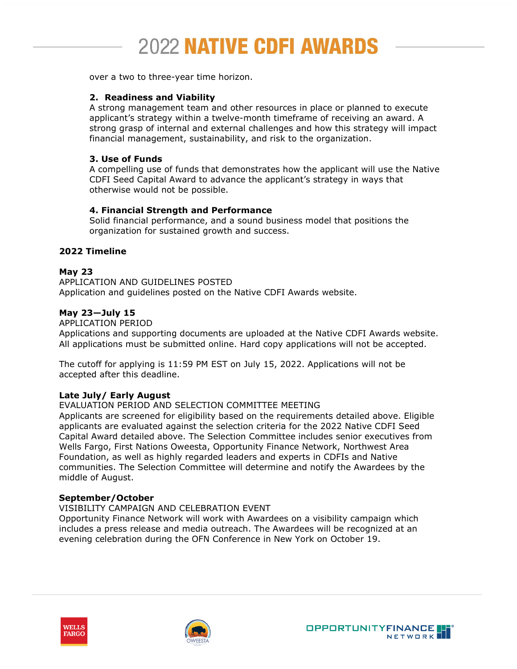over a two to three-year time horizon.

## **2. Readiness and Viability**

A strong management team and other resources in place or planned to execute applicant's strategy within a twelve-month timeframe of receiving an award. A strong grasp of internal and external challenges and how this strategy will impact financial management, sustainability, and risk to the organization.

#### **3. Use of Funds**

A compelling use of funds that demonstrates how the applicant will use the Native CDFI Seed Capital Award to advance the applicant's strategy in ways that otherwise would not be possible.

#### **4. Financial Strength and Performance**

Solid financial performance, and a sound business model that positions the organization for sustained growth and success.

## **2022 Timeline**

# **May 23**

APPLICATION AND GUIDELINES POSTED Application and guidelines posted on the Native CDFI Awards website.

#### **May 23—July 15**

#### APPLICATION PERIOD

Applications and supporting documents are uploaded at the Native CDFI Awards website. All applications must be submitted online. Hard copy applications will not be accepted.

The cutoff for applying is 11:59 PM EST on July 15, 2022. Applications will not be accepted after this deadline.

# **Late July/ Early August**

#### EVALUATION PERIOD AND SELECTION COMMITTEE MEETING

Applicants are screened for eligibility based on the requirements detailed above. Eligible applicants are evaluated against the selection criteria for the 2022 Native CDFI Seed Capital Award detailed above. The Selection Committee includes senior executives from Wells Fargo, First Nations Oweesta, Opportunity Finance Network, Northwest Area Foundation, as well as highly regarded leaders and experts in CDFIs and Native communities. The Selection Committee will determine and notify the Awardees by the middle of August.

#### **September/October**

VISIBILITY CAMPAIGN AND CELEBRATION EVENT

Opportunity Finance Network will work with Awardees on a visibility campaign which includes a press release and media outreach. The Awardees will be recognized at an evening celebration during the OFN Conference in New York on October 19.





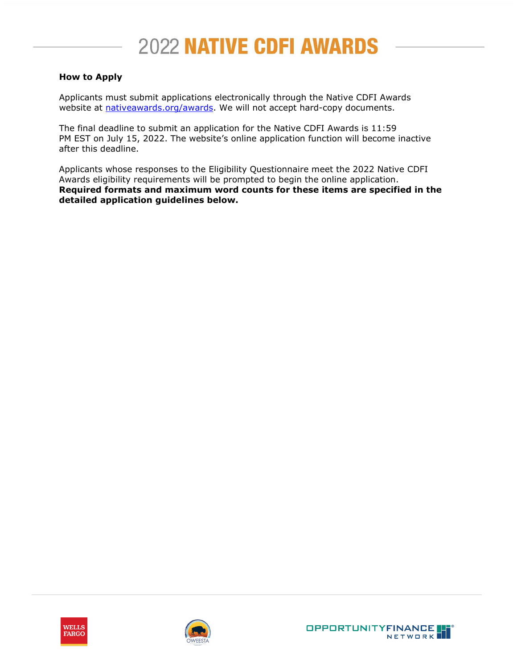# **How to Apply**

Applicants must submit applications electronically through the Native CDFI Awards website at [nativeawards.org/awards.](https://nativeawards.org/awards) We will not accept hard-copy documents.

The final deadline to submit an application for the Native CDFI Awards is 11:59 PM EST on July 15, 2022. The website's online application function will become inactive after this deadline.

Applicants whose responses to the Eligibility Questionnaire meet the 2022 Native CDFI Awards eligibility requirements will be prompted to begin the online application. **Required formats and maximum word counts for these items are specified in the detailed application guidelines below.**





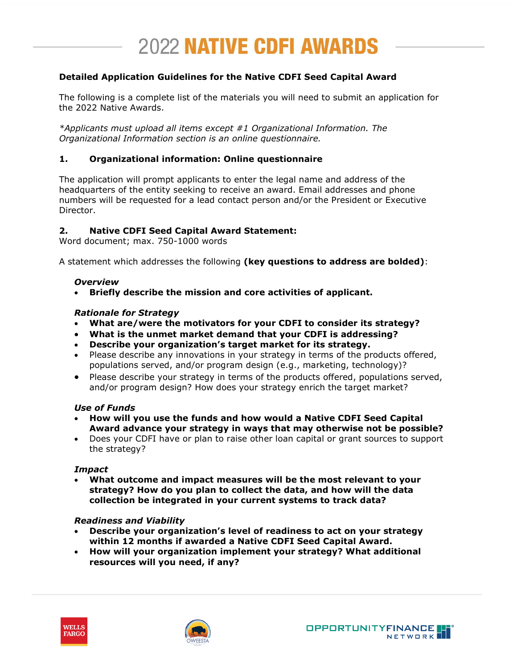# **Detailed Application Guidelines for the Native CDFI Seed Capital Award**

The following is a complete list of the materials you will need to submit an application for the 2022 Native Awards.

*\*Applicants must upload all items except #1 Organizational Information. The Organizational Information section is an online questionnaire.*

# **1. Organizational information: Online questionnaire**

The application will prompt applicants to enter the legal name and address of the headquarters of the entity seeking to receive an award. Email addresses and phone numbers will be requested for a lead contact person and/or the President or Executive Director.

#### **2. Native CDFI Seed Capital Award Statement:**

Word document; max. 750-1000 words

A statement which addresses the following **(key questions to address are bolded)**:

#### *Overview*

• **Briefly describe the mission and core activities of applicant.** 

#### *Rationale for Strategy*

- **What are/were the motivators for your CDFI to consider its strategy?**
- **What is the unmet market demand that your CDFI is addressing?**
- **Describe your organization's target market for its strategy.**
- Please describe any innovations in your strategy in terms of the products offered, populations served, and/or program design (e.g., marketing, technology)?
- Please describe your strategy in terms of the products offered, populations served, and/or program design? How does your strategy enrich the target market?

#### *Use of Funds*

- **How will you use the funds and how would a Native CDFI Seed Capital Award advance your strategy in ways that may otherwise not be possible?**
- Does your CDFI have or plan to raise other loan capital or grant sources to support the strategy?

#### *Impact*

• **What outcome and impact measures will be the most relevant to your strategy? How do you plan to collect the data, and how will the data collection be integrated in your current systems to track data?**

#### *Readiness and Viability*

- **Describe your organization's level of readiness to act on your strategy within 12 months if awarded a Native CDFI Seed Capital Award.**
- **How will your organization implement your strategy? What additional resources will you need, if any?**